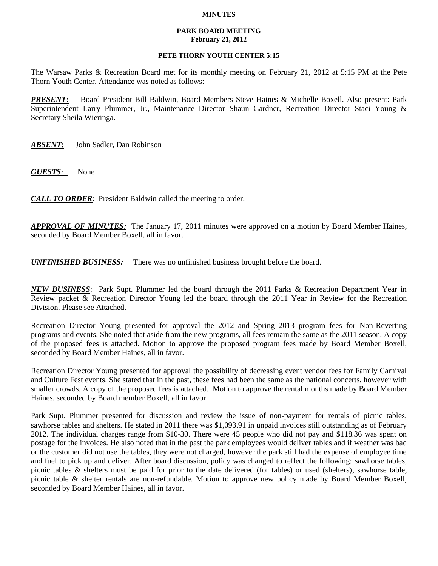## **MINUTES**

## **PARK BOARD MEETING February 21, 2012**

## **PETE THORN YOUTH CENTER 5:15**

The Warsaw Parks & Recreation Board met for its monthly meeting on February 21, 2012 at 5:15 PM at the Pete Thorn Youth Center. Attendance was noted as follows:

*PRESENT***:** Board President Bill Baldwin, Board Members Steve Haines & Michelle Boxell. Also present: Park Superintendent Larry Plummer, Jr., Maintenance Director Shaun Gardner, Recreation Director Staci Young & Secretary Sheila Wieringa.

*ABSENT*: John Sadler, Dan Robinson

*GUESTS:*None

*CALL TO ORDER*: President Baldwin called the meeting to order.

*APPROVAL OF MINUTES:* The January 17, 2011 minutes were approved on a motion by Board Member Haines, seconded by Board Member Boxell, all in favor.

*UNFINISHED BUSINESS:* There was no unfinished business brought before the board.

*NEW BUSINESS*: Park Supt. Plummer led the board through the 2011 Parks & Recreation Department Year in Review packet & Recreation Director Young led the board through the 2011 Year in Review for the Recreation Division. Please see Attached.

Recreation Director Young presented for approval the 2012 and Spring 2013 program fees for Non-Reverting programs and events. She noted that aside from the new programs, all fees remain the same as the 2011 season. A copy of the proposed fees is attached. Motion to approve the proposed program fees made by Board Member Boxell, seconded by Board Member Haines, all in favor.

Recreation Director Young presented for approval the possibility of decreasing event vendor fees for Family Carnival and Culture Fest events. She stated that in the past, these fees had been the same as the national concerts, however with smaller crowds. A copy of the proposed fees is attached. Motion to approve the rental months made by Board Member Haines, seconded by Board member Boxell, all in favor.

Park Supt. Plummer presented for discussion and review the issue of non-payment for rentals of picnic tables, sawhorse tables and shelters. He stated in 2011 there was \$1,093.91 in unpaid invoices still outstanding as of February 2012. The individual charges range from \$10-30. There were 45 people who did not pay and \$118.36 was spent on postage for the invoices. He also noted that in the past the park employees would deliver tables and if weather was bad or the customer did not use the tables, they were not charged, however the park still had the expense of employee time and fuel to pick up and deliver. After board discussion, policy was changed to reflect the following: sawhorse tables, picnic tables & shelters must be paid for prior to the date delivered (for tables) or used (shelters), sawhorse table, picnic table & shelter rentals are non-refundable. Motion to approve new policy made by Board Member Boxell, seconded by Board Member Haines, all in favor.